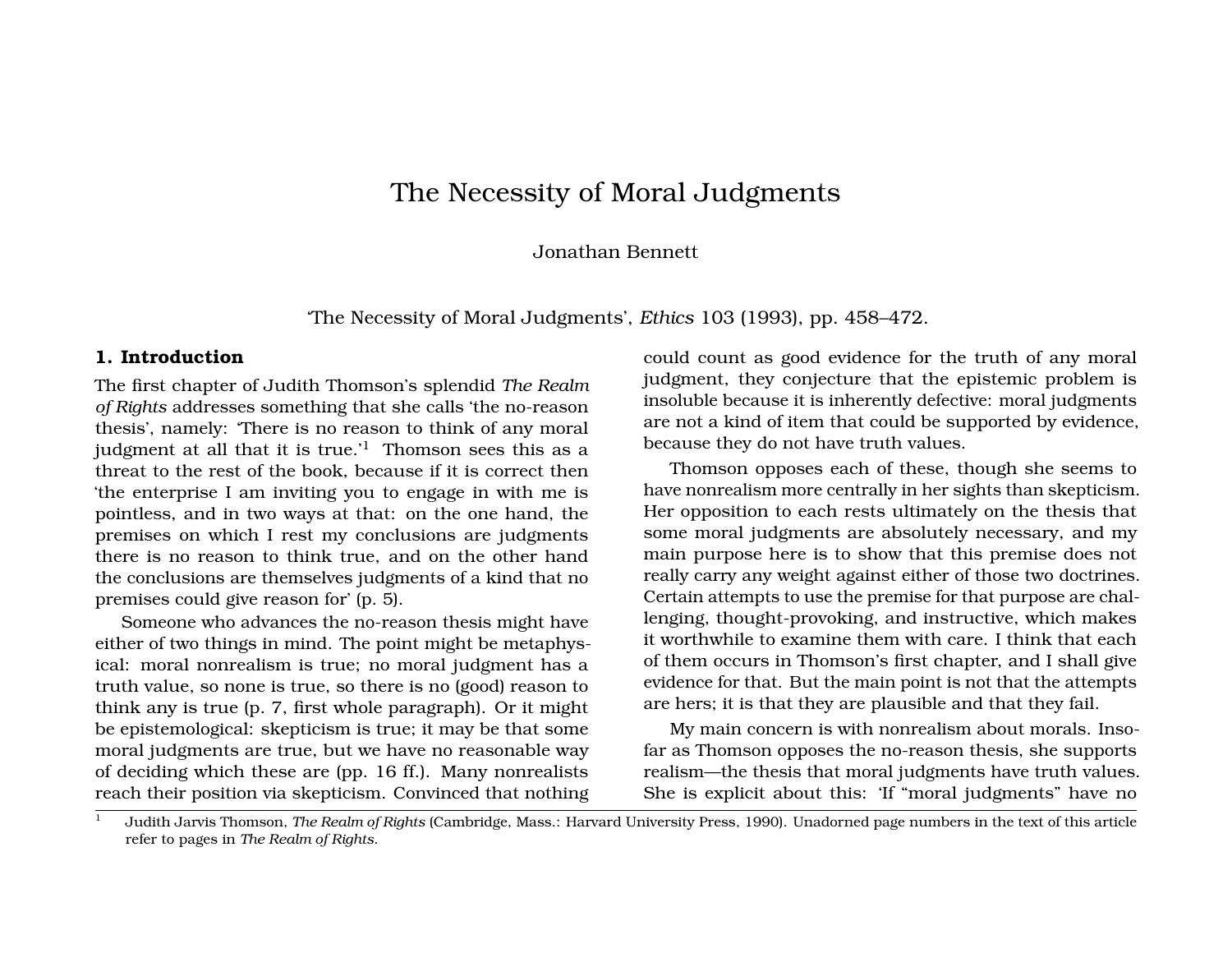# The Necessity of Moral Judgments

Jonathan Bennett

'The Necessity of Moral Judgments', *Ethics* 103 (1993), pp. 458–472.

#### **1. Introduction**

The first chapter of Judith Thomson's splendid *The Realm of Rights* addresses something that she calls 'the no-reason thesis', namely: 'There is no reason to think of any moral judgment at all that it is true.<sup> $1$ </sup> Thomson sees this as a threat to the rest of the book, because if it is correct then 'the enterprise I am inviting you to engage in with me is pointless, and in two ways at that: on the one hand, the premises on which I rest my conclusions are judgments there is no reason to think true, and on the other hand the conclusions are themselves judgments of a kind that no premises could give reason for' (p. 5).

Someone who advances the no-reason thesis might have either of two things in mind. The point might be metaphysical: moral nonrealism is true; no moral judgment has a truth value, so none is true, so there is no (good) reason to think any is true (p. 7, first whole paragraph). Or it might be epistemological: skepticism is true; it may be that some moral judgments are true, but we have no reasonable way of deciding which these are (pp. 16 ff.). Many nonrealists reach their position via skepticism. Convinced that nothing

could count as good evidence for the truth of any moral judgment, they conjecture that the epistemic problem is insoluble because it is inherently defective: moral judgments are not a kind of item that could be supported by evidence, because they do not have truth values.

Thomson opposes each of these, though she seems to have nonrealism more centrally in her sights than skepticism. Her opposition to each rests ultimately on the thesis that some moral judgments are absolutely necessary, and my main purpose here is to show that this premise does not really carry any weight against either of those two doctrines. Certain attempts to use the premise for that purpose are challenging, thought-provoking, and instructive, which makes it worthwhile to examine them with care. I think that each of them occurs in Thomson's first chapter, and I shall give evidence for that. But the main point is not that the attempts are hers; it is that they are plausible and that they fail.

My main concern is with nonrealism about morals. Insofar as Thomson opposes the no-reason thesis, she supports realism—the thesis that moral judgments have truth values. She is explicit about this: 'If "moral judgments" have no

<sup>1</sup> Judith Jarvis Thomson, *The Realm of Rights* (Cambridge, Mass.: Harvard University Press, 1990). Unadorned page numbers in the text of this article refer to pages in *The Realm of Rights*.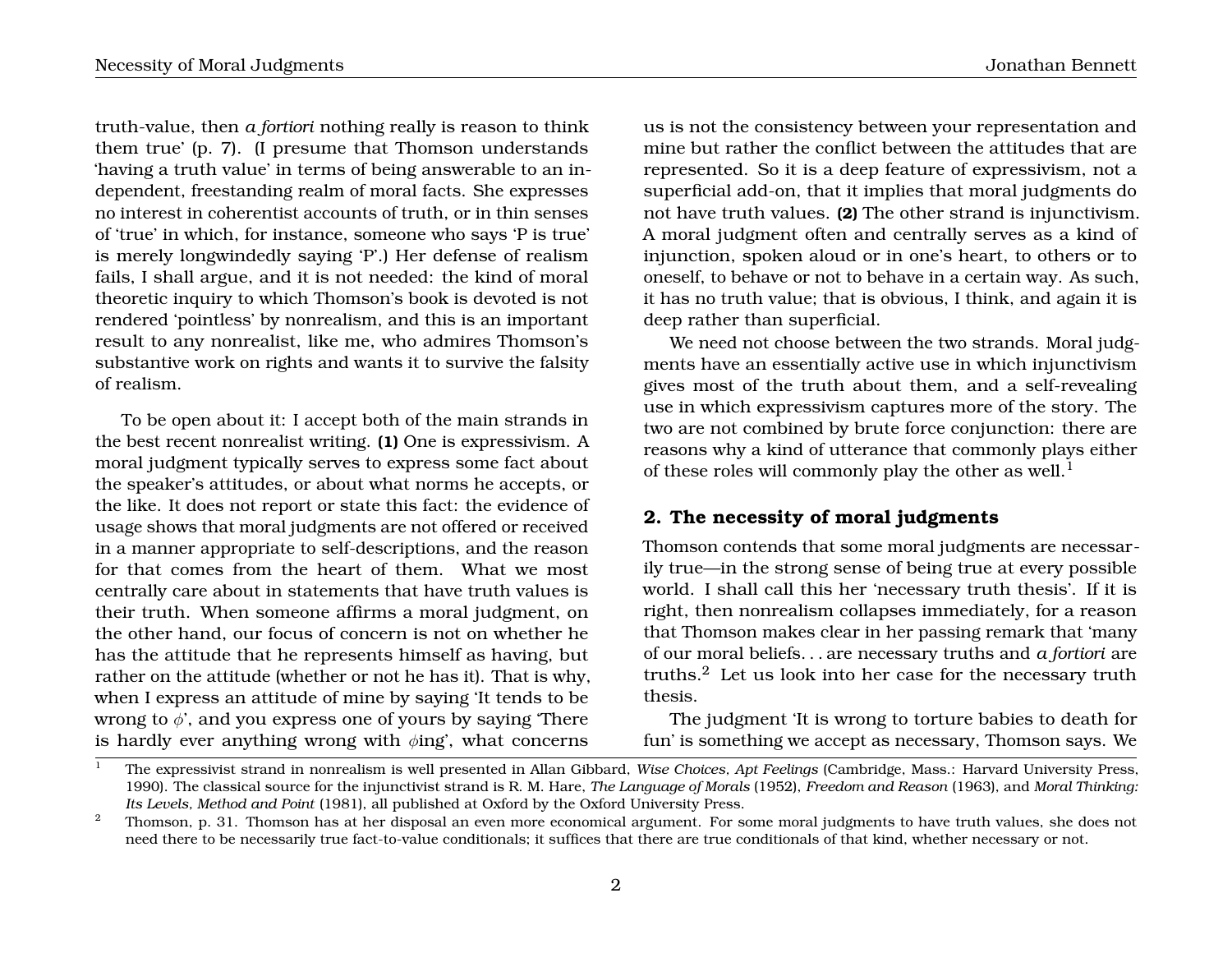truth-value, then *a fortiori* nothing really is reason to think them true' (p. 7). (I presume that Thomson understands 'having a truth value' in terms of being answerable to an independent, freestanding realm of moral facts. She expresses no interest in coherentist accounts of truth, or in thin senses of 'true' in which, for instance, someone who says 'P is true' is merely longwindedly saying 'P'.) Her defense of realism fails, I shall argue, and it is not needed: the kind of moral theoretic inquiry to which Thomson's book is devoted is not rendered 'pointless' by nonrealism, and this is an important result to any nonrealist, like me, who admires Thomson's substantive work on rights and wants it to survive the falsity of realism.

To be open about it: I accept both of the main strands in the best recent nonrealist writing. **(1)** One is expressivism. A moral judgment typically serves to express some fact about the speaker's attitudes, or about what norms he accepts, or the like. It does not report or state this fact: the evidence of usage shows that moral judgments are not offered or received in a manner appropriate to self-descriptions, and the reason for that comes from the heart of them. What we most centrally care about in statements that have truth values is their truth. When someone affirms a moral judgment, on the other hand, our focus of concern is not on whether he has the attitude that he represents himself as having, but rather on the attitude (whether or not he has it). That is why, when I express an attitude of mine by saying 'It tends to be wrong to  $\phi'$ , and you express one of yours by saying There is hardly ever anything wrong with  $\phi$ ing', what concerns

us is not the consistency between your representation and mine but rather the conflict between the attitudes that are represented. So it is a deep feature of expressivism, not a superficial add-on, that it implies that moral judgments do not have truth values. **(2)** The other strand is injunctivism. A moral judgment often and centrally serves as a kind of injunction, spoken aloud or in one's heart, to others or to oneself, to behave or not to behave in a certain way. As such, it has no truth value; that is obvious, I think, and again it is deep rather than superficial.

We need not choose between the two strands. Moral judgments have an essentially active use in which injunctivism gives most of the truth about them, and a self-revealing use in which expressivism captures more of the story. The two are not combined by brute force conjunction: there are reasons why a kind of utterance that commonly plays either of these roles will commonly play the other as well.<sup>1</sup>

### **2. The necessity of moral judgments**

Thomson contends that some moral judgments are necessarily true—in the strong sense of being true at every possible world. I shall call this her 'necessary truth thesis'. If it is right, then nonrealism collapses immediately, for a reason that Thomson makes clear in her passing remark that 'many of our moral beliefs. . . are necessary truths and *a fortiori* are truths.<sup>2</sup> Let us look into her case for the necessary truth thesis.

The judgment 'It is wrong to torture babies to death for fun' is something we accept as necessary, Thomson says. We

<sup>1</sup> The expressivist strand in nonrealism is well presented in Allan Gibbard, *Wise Choices, Apt Feelings* (Cambridge, Mass.: Harvard University Press, 1990). The classical source for the injunctivist strand is R. M. Hare, *The Language of Morals* (1952), *Freedom and Reason* (1963), and *Moral Thinking: Its Levels, Method and Point* (1981), all published at Oxford by the Oxford University Press.

<sup>&</sup>lt;sup>2</sup> Thomson, p. 31. Thomson has at her disposal an even more economical argument. For some moral judgments to have truth values, she does not need there to be necessarily true fact-to-value conditionals; it suffices that there are true conditionals of that kind, whether necessary or not.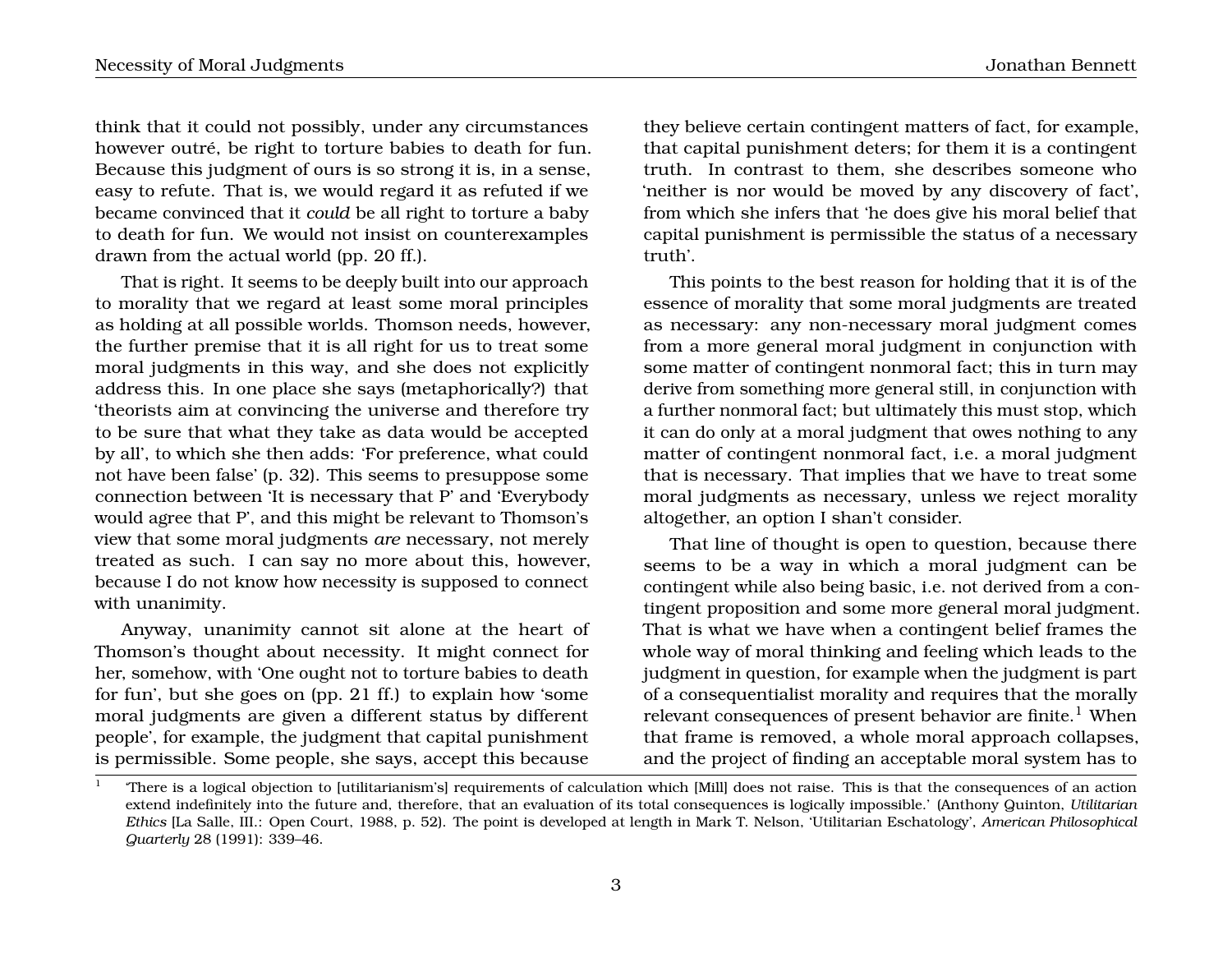think that it could not possibly, under any circumstances however outré, be right to torture babies to death for fun. Because this judgment of ours is so strong it is, in a sense, easy to refute. That is, we would regard it as refuted if we became convinced that it *could* be all right to torture a baby to death for fun. We would not insist on counterexamples drawn from the actual world (pp. 20 ff.).

That is right. It seems to be deeply built into our approach to morality that we regard at least some moral principles as holding at all possible worlds. Thomson needs, however, the further premise that it is all right for us to treat some moral judgments in this way, and she does not explicitly address this. In one place she says (metaphorically?) that 'theorists aim at convincing the universe and therefore try to be sure that what they take as data would be accepted by all', to which she then adds: 'For preference, what could not have been false' (p. 32). This seems to presuppose some connection between 'It is necessary that P' and 'Everybody would agree that P', and this might be relevant to Thomson's view that some moral judgments *are* necessary, not merely treated as such. I can say no more about this, however, because I do not know how necessity is supposed to connect with unanimity.

Anyway, unanimity cannot sit alone at the heart of Thomson's thought about necessity. It might connect for her, somehow, with 'One ought not to torture babies to death for fun', but she goes on (pp. 21 ff.) to explain how 'some moral judgments are given a different status by different people', for example, the judgment that capital punishment is permissible. Some people, she says, accept this because

they believe certain contingent matters of fact, for example, that capital punishment deters; for them it is a contingent truth. In contrast to them, she describes someone who 'neither is nor would be moved by any discovery of fact', from which she infers that 'he does give his moral belief that capital punishment is permissible the status of a necessary truth'.

This points to the best reason for holding that it is of the essence of morality that some moral judgments are treated as necessary: any non-necessary moral judgment comes from a more general moral judgment in conjunction with some matter of contingent nonmoral fact; this in turn may derive from something more general still, in conjunction with a further nonmoral fact; but ultimately this must stop, which it can do only at a moral judgment that owes nothing to any matter of contingent nonmoral fact, i.e. a moral judgment that is necessary. That implies that we have to treat some moral judgments as necessary, unless we reject morality altogether, an option I shan't consider.

That line of thought is open to question, because there seems to be a way in which a moral judgment can be contingent while also being basic, i.e. not derived from a contingent proposition and some more general moral judgment. That is what we have when a contingent belief frames the whole way of moral thinking and feeling which leads to the judgment in question, for example when the judgment is part of a consequentialist morality and requires that the morally relevant consequences of present behavior are finite.<sup>1</sup> When that frame is removed, a whole moral approach collapses, and the project of finding an acceptable moral system has to

<sup>1</sup> 'There is a logical objection to [utilitarianism's] requirements of calculation which [Mill] does not raise. This is that the consequences of an action extend indefinitely into the future and, therefore, that an evaluation of its total consequences is logically impossible.' (Anthony Quinton, *Utilitarian Ethics* [La Salle, III.: Open Court, 1988, p. 52). The point is developed at length in Mark T. Nelson, 'Utilitarian Eschatology', *American Philosophical Quarterly* 28 (1991): 339–46.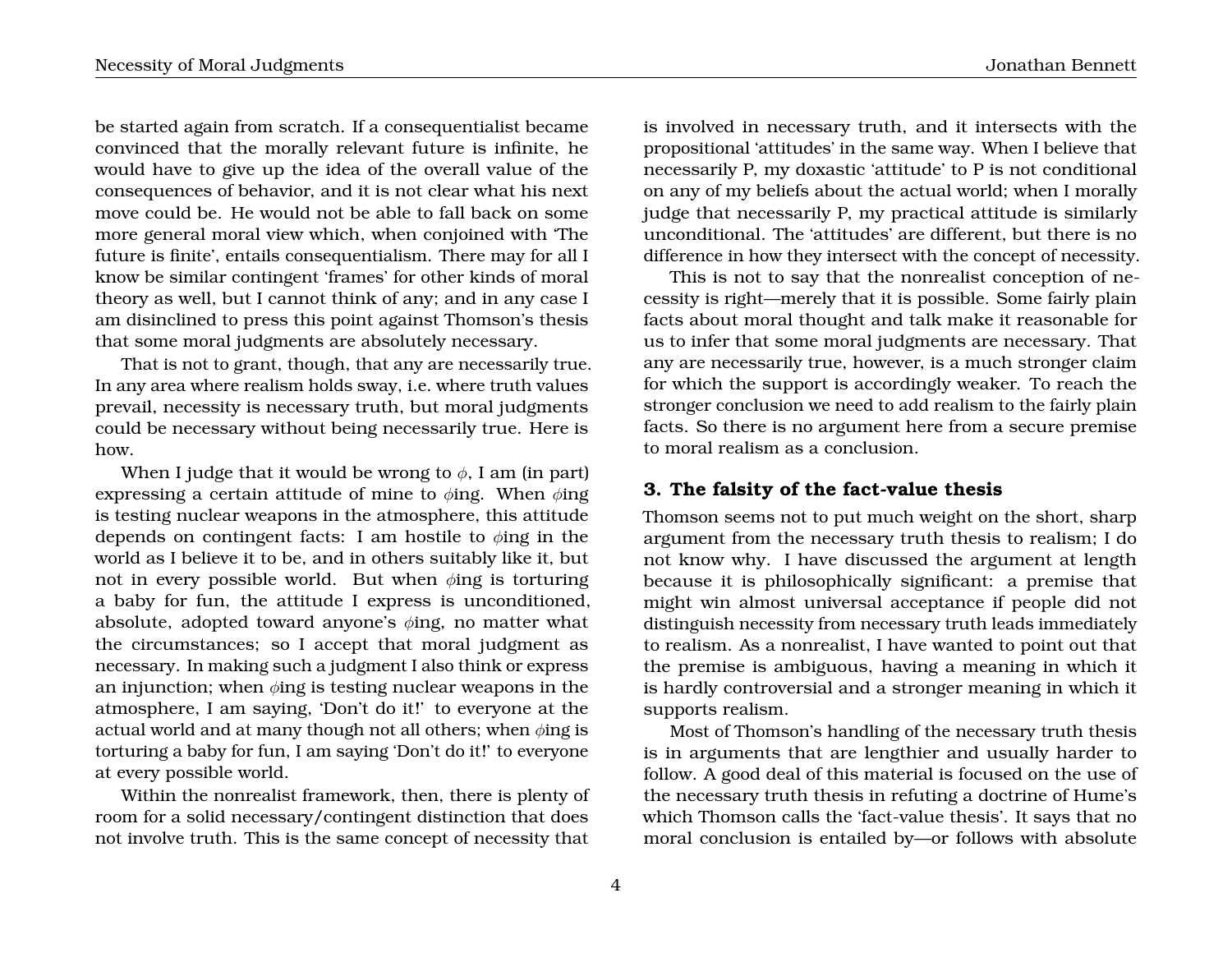be started again from scratch. If a consequentialist became convinced that the morally relevant future is infinite, he would have to give up the idea of the overall value of the consequences of behavior, and it is not clear what his next move could be. He would not be able to fall back on some more general moral view which, when conjoined with 'The future is finite', entails consequentialism. There may for all I know be similar contingent 'frames' for other kinds of moral theory as well, but I cannot think of any; and in any case I am disinclined to press this point against Thomson's thesis that some moral judgments are absolutely necessary.

That is not to grant, though, that any are necessarily true. In any area where realism holds sway, i.e. where truth values prevail, necessity is necessary truth, but moral judgments could be necessary without being necessarily true. Here is how.

When I judge that it would be wrong to  $\phi$ , I am (in part) expressing a certain attitude of mine to  $\phi$ ing. When  $\phi$ ing is testing nuclear weapons in the atmosphere, this attitude depends on contingent facts: I am hostile to  $\phi$ ing in the world as I believe it to be, and in others suitably like it, but not in every possible world. But when  $\phi$ ing is torturing a baby for fun, the attitude I express is unconditioned, absolute, adopted toward anyone's  $\phi$ ing, no matter what the circumstances; so I accept that moral judgment as necessary. In making such a judgment I also think or express an injunction; when  $\phi$ ing is testing nuclear weapons in the atmosphere, I am saying, 'Don't do it!' to everyone at the actual world and at many though not all others; when  $\phi$ ing is torturing a baby for fun, I am saying 'Don't do it!' to everyone at every possible world.

Within the nonrealist framework, then, there is plenty of room for a solid necessary/contingent distinction that does not involve truth. This is the same concept of necessity that

is involved in necessary truth, and it intersects with the propositional 'attitudes' in the same way. When I believe that necessarily P, my doxastic 'attitude' to P is not conditional on any of my beliefs about the actual world; when I morally judge that necessarily P, my practical attitude is similarly unconditional. The 'attitudes' are different, but there is no difference in how they intersect with the concept of necessity.

This is not to say that the nonrealist conception of necessity is right—merely that it is possible. Some fairly plain facts about moral thought and talk make it reasonable for us to infer that some moral judgments are necessary. That any are necessarily true, however, is a much stronger claim for which the support is accordingly weaker. To reach the stronger conclusion we need to add realism to the fairly plain facts. So there is no argument here from a secure premise to moral realism as a conclusion.

## **3. The falsity of the fact-value thesis**

Thomson seems not to put much weight on the short, sharp argument from the necessary truth thesis to realism; I do not know why. I have discussed the argument at length because it is philosophically significant: a premise that might win almost universal acceptance if people did not distinguish necessity from necessary truth leads immediately to realism. As a nonrealist, I have wanted to point out that the premise is ambiguous, having a meaning in which it is hardly controversial and a stronger meaning in which it supports realism.

Most of Thomson's handling of the necessary truth thesis is in arguments that are lengthier and usually harder to follow. A good deal of this material is focused on the use of the necessary truth thesis in refuting a doctrine of Hume's which Thomson calls the 'fact-value thesis'. It says that no moral conclusion is entailed by—or follows with absolute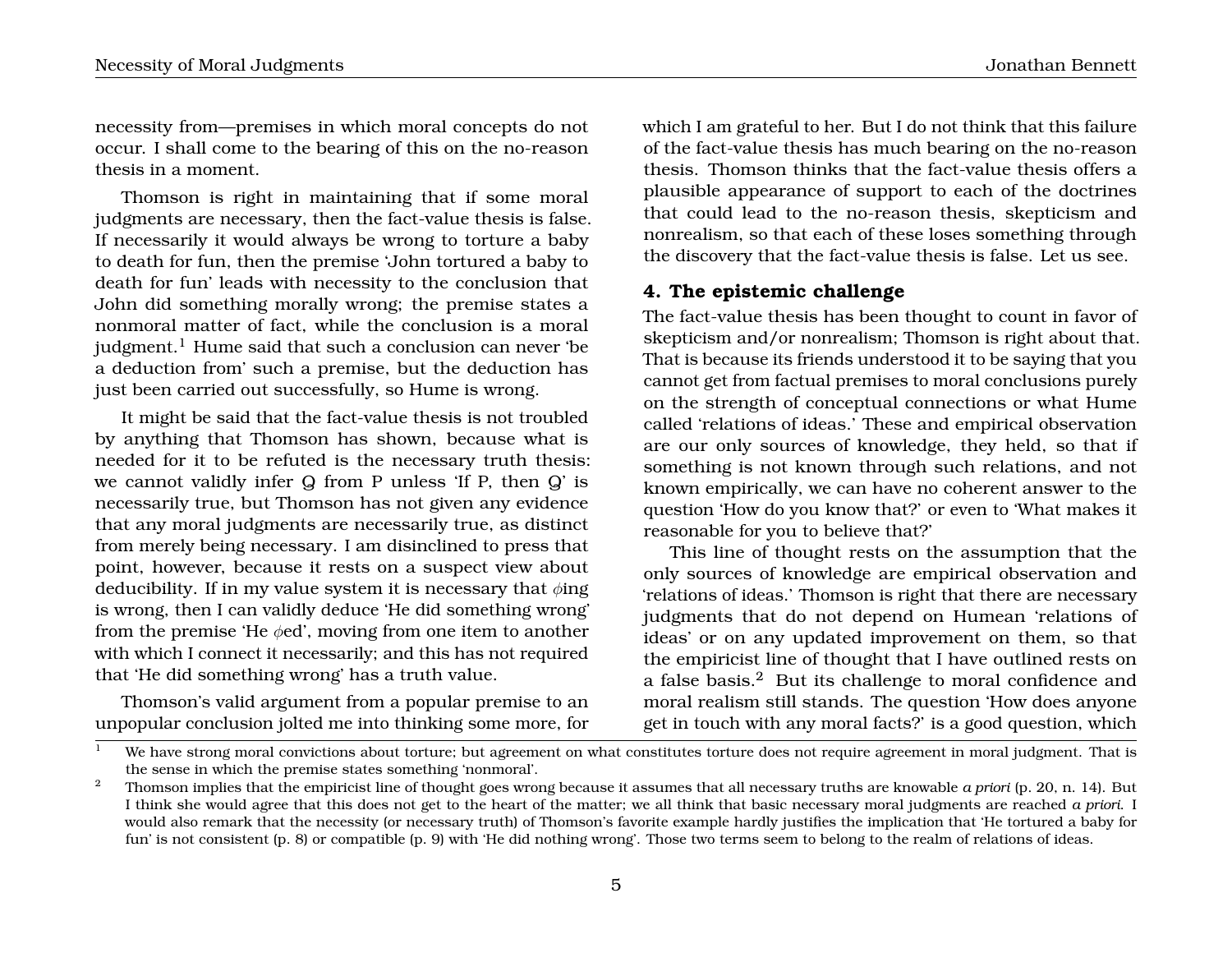necessity from—premises in which moral concepts do not occur. I shall come to the bearing of this on the no-reason thesis in a moment.

Thomson is right in maintaining that if some moral judgments are necessary, then the fact-value thesis is false. If necessarily it would always be wrong to torture a baby to death for fun, then the premise 'John tortured a baby to death for fun' leads with necessity to the conclusion that John did something morally wrong; the premise states a nonmoral matter of fact, while the conclusion is a moral judgment.<sup>1</sup> Hume said that such a conclusion can never 'be a deduction from' such a premise, but the deduction has just been carried out successfully, so Hume is wrong.

It might be said that the fact-value thesis is not troubled by anything that Thomson has shown, because what is needed for it to be refuted is the necessary truth thesis: we cannot validly infer Q from P unless 'If P, then Q' is necessarily true, but Thomson has not given any evidence that any moral judgments are necessarily true, as distinct from merely being necessary. I am disinclined to press that point, however, because it rests on a suspect view about deducibility. If in my value system it is necessary that  $\phi$ ing is wrong, then I can validly deduce 'He did something wrong' from the premise 'He  $\phi$ ed', moving from one item to another with which I connect it necessarily; and this has not required that 'He did something wrong' has a truth value.

Thomson's valid argument from a popular premise to an unpopular conclusion jolted me into thinking some more, for which I am grateful to her. But I do not think that this failure of the fact-value thesis has much bearing on the no-reason thesis. Thomson thinks that the fact-value thesis offers a plausible appearance of support to each of the doctrines that could lead to the no-reason thesis, skepticism and nonrealism, so that each of these loses something through the discovery that the fact-value thesis is false. Let us see.

## **4. The epistemic challenge**

The fact-value thesis has been thought to count in favor of skepticism and/or nonrealism; Thomson is right about that. That is because its friends understood it to be saying that you cannot get from factual premises to moral conclusions purely on the strength of conceptual connections or what Hume called 'relations of ideas.' These and empirical observation are our only sources of knowledge, they held, so that if something is not known through such relations, and not known empirically, we can have no coherent answer to the question 'How do you know that?' or even to 'What makes it reasonable for you to believe that?'

This line of thought rests on the assumption that the only sources of knowledge are empirical observation and 'relations of ideas.' Thomson is right that there are necessary judgments that do not depend on Humean 'relations of ideas' or on any updated improvement on them, so that the empiricist line of thought that I have outlined rests on a false basis.<sup>2</sup> But its challenge to moral confidence and moral realism still stands. The question 'How does anyone get in touch with any moral facts?' is a good question, which

We have strong moral convictions about torture; but agreement on what constitutes torture does not require agreement in moral judgment. That is the sense in which the premise states something 'nonmoral'.

<sup>2</sup> Thomson implies that the empiricist line of thought goes wrong because it assumes that all necessary truths are knowable *a priori* (p. 20, n. 14). But I think she would agree that this does not get to the heart of the matter; we all think that basic necessary moral judgments are reached *a priori*. I would also remark that the necessity (or necessary truth) of Thomson's favorite example hardly justifies the implication that 'He tortured a baby for fun' is not consistent (p. 8) or compatible (p. 9) with 'He did nothing wrong'. Those two terms seem to belong to the realm of relations of ideas.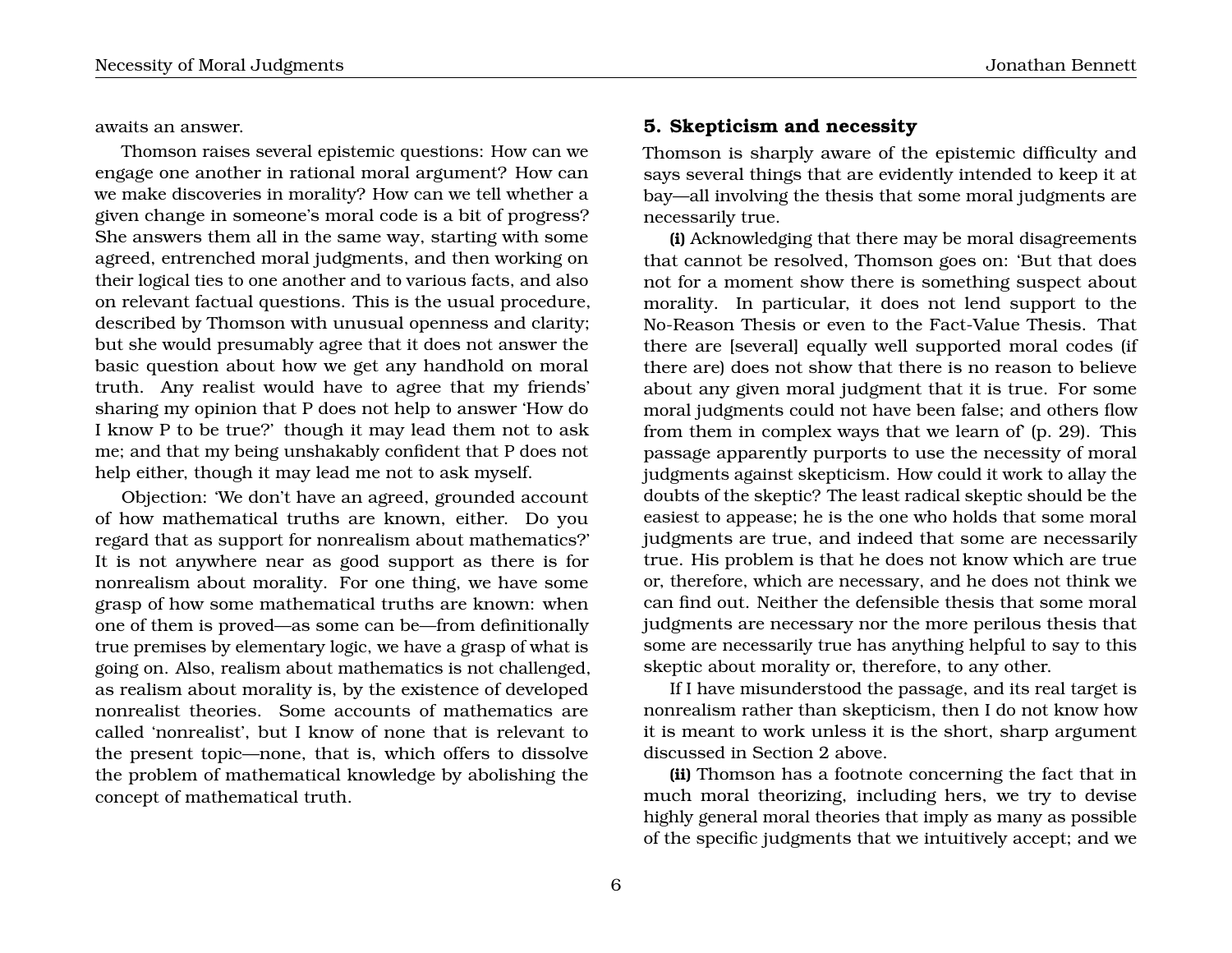awaits an answer.

Thomson raises several epistemic questions: How can we engage one another in rational moral argument? How can we make discoveries in morality? How can we tell whether a given change in someone's moral code is a bit of progress? She answers them all in the same way, starting with some agreed, entrenched moral judgments, and then working on their logical ties to one another and to various facts, and also on relevant factual questions. This is the usual procedure, described by Thomson with unusual openness and clarity; but she would presumably agree that it does not answer the basic question about how we get any handhold on moral truth. Any realist would have to agree that my friends' sharing my opinion that P does not help to answer 'How do I know P to be true?' though it may lead them not to ask me; and that my being unshakably confident that P does not help either, though it may lead me not to ask myself.

Objection: 'We don't have an agreed, grounded account of how mathematical truths are known, either. Do you regard that as support for nonrealism about mathematics?' It is not anywhere near as good support as there is for nonrealism about morality. For one thing, we have some grasp of how some mathematical truths are known: when one of them is proved—as some can be—from definitionally true premises by elementary logic, we have a grasp of what is going on. Also, realism about mathematics is not challenged, as realism about morality is, by the existence of developed nonrealist theories. Some accounts of mathematics are called 'nonrealist', but I know of none that is relevant to the present topic—none, that is, which offers to dissolve the problem of mathematical knowledge by abolishing the concept of mathematical truth.

### **5. Skepticism and necessity**

Thomson is sharply aware of the epistemic difficulty and says several things that are evidently intended to keep it at bay—all involving the thesis that some moral judgments are necessarily true.

**(i)** Acknowledging that there may be moral disagreements that cannot be resolved, Thomson goes on: 'But that does not for a moment show there is something suspect about morality. In particular, it does not lend support to the No-Reason Thesis or even to the Fact-Value Thesis. That there are [several] equally well supported moral codes (if there are) does not show that there is no reason to believe about any given moral judgment that it is true. For some moral judgments could not have been false; and others flow from them in complex ways that we learn of' (p. 29). This passage apparently purports to use the necessity of moral judgments against skepticism. How could it work to allay the doubts of the skeptic? The least radical skeptic should be the easiest to appease; he is the one who holds that some moral judgments are true, and indeed that some are necessarily true. His problem is that he does not know which are true or, therefore, which are necessary, and he does not think we can find out. Neither the defensible thesis that some moral judgments are necessary nor the more perilous thesis that some are necessarily true has anything helpful to say to this skeptic about morality or, therefore, to any other.

If I have misunderstood the passage, and its real target is nonrealism rather than skepticism, then I do not know how it is meant to work unless it is the short, sharp argument discussed in Section 2 above.

**(ii)** Thomson has a footnote concerning the fact that in much moral theorizing, including hers, we try to devise highly general moral theories that imply as many as possible of the specific judgments that we intuitively accept; and we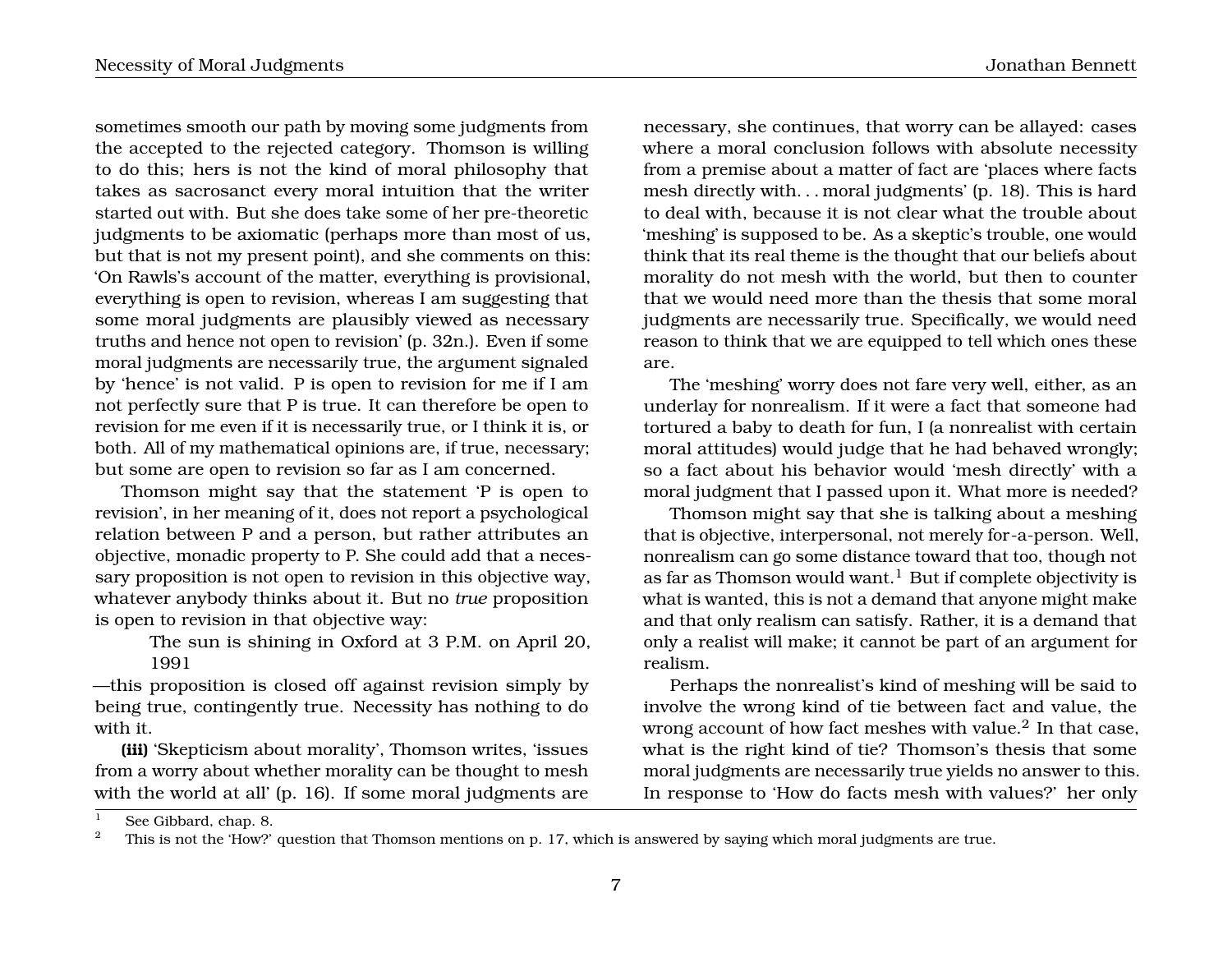sometimes smooth our path by moving some judgments from the accepted to the rejected category. Thomson is willing to do this; hers is not the kind of moral philosophy that takes as sacrosanct every moral intuition that the writer started out with. But she does take some of her pre-theoretic judgments to be axiomatic (perhaps more than most of us, but that is not my present point), and she comments on this: 'On Rawls's account of the matter, everything is provisional, everything is open to revision, whereas I am suggesting that some moral judgments are plausibly viewed as necessary truths and hence not open to revision' (p. 32n.). Even if some moral judgments are necessarily true, the argument signaled by 'hence' is not valid. P is open to revision for me if I am not perfectly sure that P is true. It can therefore be open to revision for me even if it is necessarily true, or I think it is, or both. All of my mathematical opinions are, if true, necessary; but some are open to revision so far as I am concerned.

Thomson might say that the statement 'P is open to revision', in her meaning of it, does not report a psychological relation between P and a person, but rather attributes an objective, monadic property to P. She could add that a necessary proposition is not open to revision in this objective way, whatever anybody thinks about it. But no *true* proposition is open to revision in that objective way:

> The sun is shining in Oxford at 3 P.M. on April 20, 1991

—this proposition is closed off against revision simply by being true, contingently true. Necessity has nothing to do with it.

**(iii)** 'Skepticism about morality', Thomson writes, 'issues from a worry about whether morality can be thought to mesh with the world at all' (p. 16). If some moral judgments are necessary, she continues, that worry can be allayed: cases where a moral conclusion follows with absolute necessity from a premise about a matter of fact are 'places where facts mesh directly with. . . moral judgments' (p. 18). This is hard to deal with, because it is not clear what the trouble about 'meshing' is supposed to be. As a skeptic's trouble, one would think that its real theme is the thought that our beliefs about morality do not mesh with the world, but then to counter that we would need more than the thesis that some moral judgments are necessarily true. Specifically, we would need reason to think that we are equipped to tell which ones these are.

The 'meshing' worry does not fare very well, either, as an underlay for nonrealism. If it were a fact that someone had tortured a baby to death for fun, I (a nonrealist with certain moral attitudes) would judge that he had behaved wrongly; so a fact about his behavior would 'mesh directly' with a moral judgment that I passed upon it. What more is needed?

Thomson might say that she is talking about a meshing that is objective, interpersonal, not merely for-a-person. Well, nonrealism can go some distance toward that too, though not as far as Thomson would want.<sup>1</sup> But if complete objectivity is what is wanted, this is not a demand that anyone might make and that only realism can satisfy. Rather, it is a demand that only a realist will make; it cannot be part of an argument for realism.

Perhaps the nonrealist's kind of meshing will be said to involve the wrong kind of tie between fact and value, the wrong account of how fact meshes with value. $^2$  In that case, what is the right kind of tie? Thomson's thesis that some moral judgments are necessarily true yields no answer to this. In response to 'How do facts mesh with values?' her only

<sup>1</sup> See Gibbard, chap. 8.<br><sup>2</sup> This is not the 'User?'

<sup>2</sup> This is not the 'How?' question that Thomson mentions on p. 17, which is answered by saying which moral judgments are true.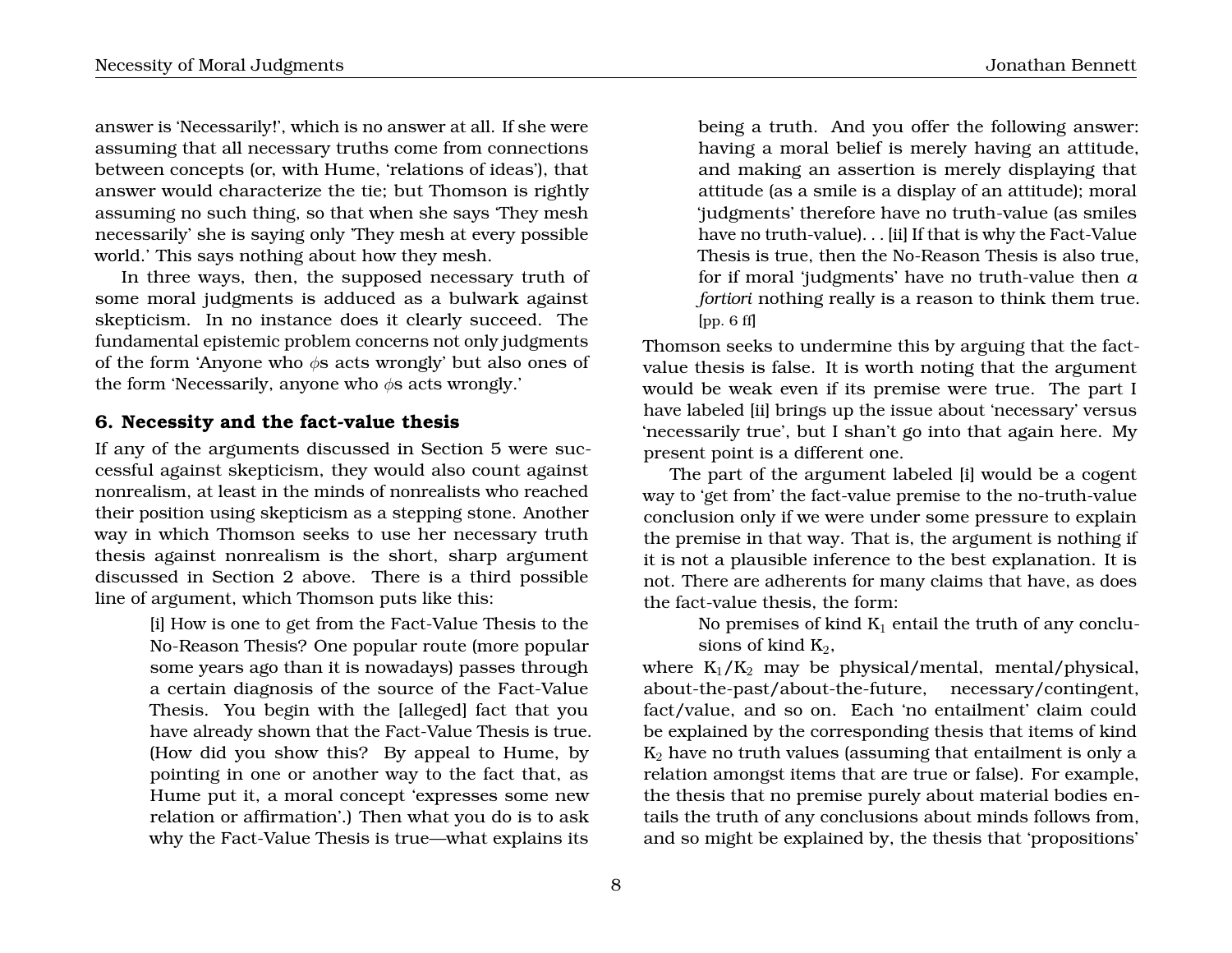answer is 'Necessarily!', which is no answer at all. If she were assuming that all necessary truths come from connections between concepts (or, with Hume, 'relations of ideas'), that answer would characterize the tie; but Thomson is rightly assuming no such thing, so that when she says 'They mesh necessarily' she is saying only 'They mesh at every possible world.' This says nothing about how they mesh.

In three ways, then, the supposed necessary truth of some moral judgments is adduced as a bulwark against skepticism. In no instance does it clearly succeed. The fundamental epistemic problem concerns not only judgments of the form 'Anyone who φs acts wrongly' but also ones of the form 'Necessarily, anyone who  $\phi$ s acts wrongly.'

## **6. Necessity and the fact-value thesis**

If any of the arguments discussed in Section 5 were successful against skepticism, they would also count against nonrealism, at least in the minds of nonrealists who reached their position using skepticism as a stepping stone. Another way in which Thomson seeks to use her necessary truth thesis against nonrealism is the short, sharp argument discussed in Section 2 above. There is a third possible line of argument, which Thomson puts like this:

> [i] How is one to get from the Fact-Value Thesis to the No-Reason Thesis? One popular route (more popular some years ago than it is nowadays) passes through a certain diagnosis of the source of the Fact-Value Thesis. You begin with the [alleged] fact that you have already shown that the Fact-Value Thesis is true. (How did you show this? By appeal to Hume, by pointing in one or another way to the fact that, as Hume put it, a moral concept 'expresses some new relation or affirmation'.) Then what you do is to ask why the Fact-Value Thesis is true—what explains its

being a truth. And you offer the following answer: having a moral belief is merely having an attitude, and making an assertion is merely displaying that attitude (as a smile is a display of an attitude); moral 'judgments' therefore have no truth-value (as smiles have no truth-value). . . [ii] If that is why the Fact-Value Thesis is true, then the No-Reason Thesis is also true, for if moral 'judgments' have no truth-value then *a fortiori* nothing really is a reason to think them true. [pp. 6 ff]

Thomson seeks to undermine this by arguing that the factvalue thesis is false. It is worth noting that the argument would be weak even if its premise were true. The part I have labeled [ii] brings up the issue about 'necessary' versus 'necessarily true', but I shan't go into that again here. My present point is a different one.

The part of the argument labeled [i] would be a cogent way to 'get from' the fact-value premise to the no-truth-value conclusion only if we were under some pressure to explain the premise in that way. That is, the argument is nothing if it is not a plausible inference to the best explanation. It is not. There are adherents for many claims that have, as does the fact-value thesis, the form:

No premises of kind  $K_1$  entail the truth of any conclusions of kind  $K_2$ ,

where  $K_1/K_2$  may be physical/mental, mental/physical, about-the-past/about-the-future, necessary/contingent, fact/value, and so on. Each 'no entailment' claim could be explained by the corresponding thesis that items of kind  $K<sub>2</sub>$  have no truth values (assuming that entailment is only a relation amongst items that are true or false). For example, the thesis that no premise purely about material bodies entails the truth of any conclusions about minds follows from, and so might be explained by, the thesis that 'propositions'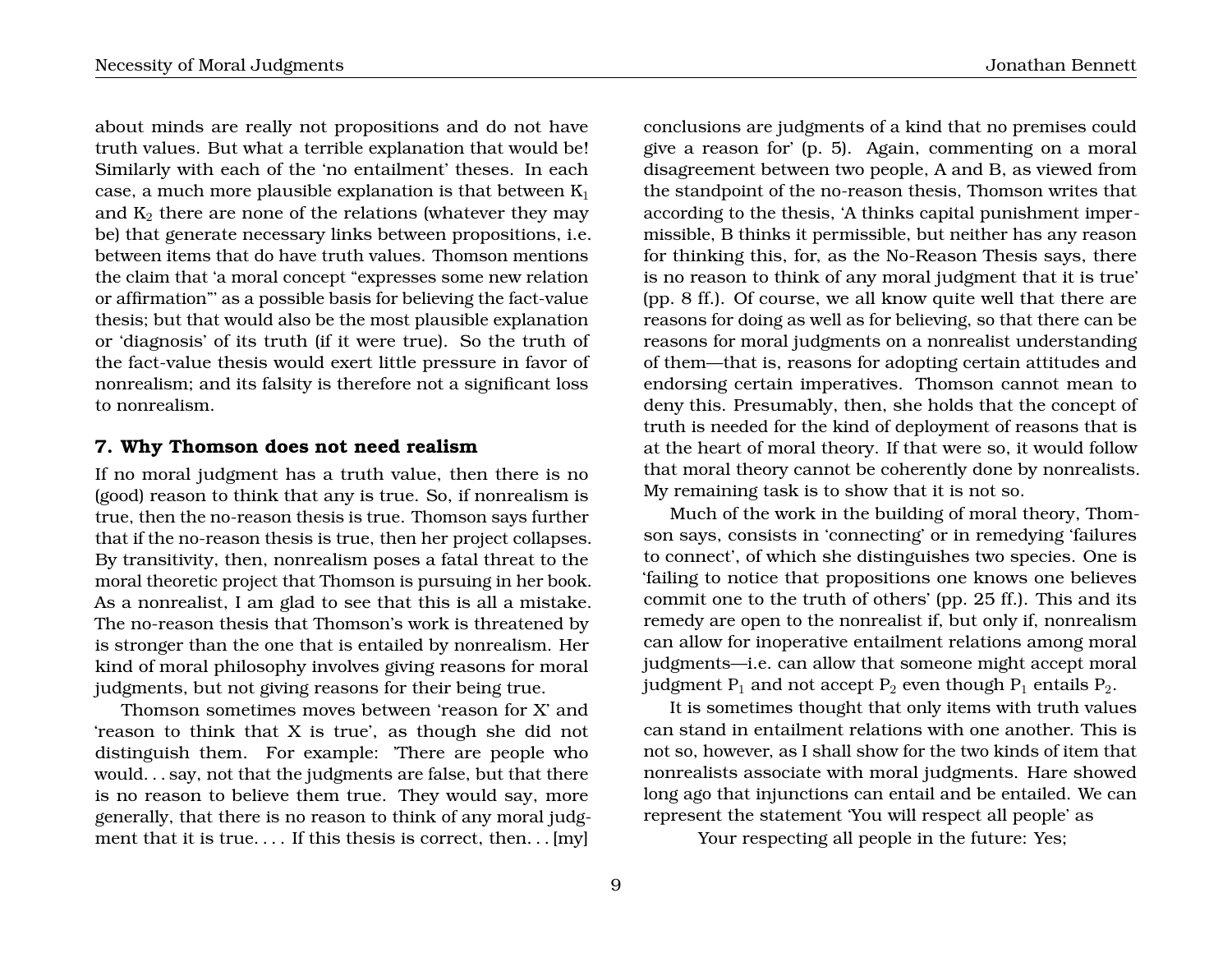about minds are really not propositions and do not have truth values. But what a terrible explanation that would be! Similarly with each of the 'no entailment' theses. In each case, a much more plausible explanation is that between  $K_1$ and  $K_2$  there are none of the relations (whatever they may be) that generate necessary links between propositions, i.e. between items that do have truth values. Thomson mentions the claim that 'a moral concept "expresses some new relation or affirmation"' as a possible basis for believing the fact-value thesis; but that would also be the most plausible explanation or 'diagnosis' of its truth (if it were true). So the truth of the fact-value thesis would exert little pressure in favor of nonrealism; and its falsity is therefore not a significant loss to nonrealism.

#### **7. Why Thomson does not need realism**

If no moral judgment has a truth value, then there is no (good) reason to think that any is true. So, if nonrealism is true, then the no-reason thesis is true. Thomson says further that if the no-reason thesis is true, then her project collapses. By transitivity, then, nonrealism poses a fatal threat to the moral theoretic project that Thomson is pursuing in her book. As a nonrealist, I am glad to see that this is all a mistake. The no-reason thesis that Thomson's work is threatened by is stronger than the one that is entailed by nonrealism. Her kind of moral philosophy involves giving reasons for moral judgments, but not giving reasons for their being true.

Thomson sometimes moves between 'reason for X' and 'reason to think that X is true', as though she did not distinguish them. For example: 'There are people who would. . . say, not that the judgments are false, but that there is no reason to believe them true. They would say, more generally, that there is no reason to think of any moral judgment that it is true.... If this thesis is correct, then... [my]

conclusions are judgments of a kind that no premises could give a reason for' (p. 5). Again, commenting on a moral disagreement between two people, A and B, as viewed from the standpoint of the no-reason thesis, Thomson writes that according to the thesis, 'A thinks capital punishment impermissible, B thinks it permissible, but neither has any reason for thinking this, for, as the No-Reason Thesis says, there is no reason to think of any moral judgment that it is true' (pp. 8 ff.). Of course, we all know quite well that there are reasons for doing as well as for believing, so that there can be reasons for moral judgments on a nonrealist understanding of them—that is, reasons for adopting certain attitudes and endorsing certain imperatives. Thomson cannot mean to deny this. Presumably, then, she holds that the concept of truth is needed for the kind of deployment of reasons that is at the heart of moral theory. If that were so, it would follow that moral theory cannot be coherently done by nonrealists. My remaining task is to show that it is not so.

Much of the work in the building of moral theory, Thomson says, consists in 'connecting' or in remedying 'failures to connect', of which she distinguishes two species. One is 'failing to notice that propositions one knows one believes commit one to the truth of others' (pp. 25 ff.). This and its remedy are open to the nonrealist if, but only if, nonrealism can allow for inoperative entailment relations among moral judgments—i.e. can allow that someone might accept moral judgment  $P_1$  and not accept  $P_2$  even though  $P_1$  entails  $P_2$ .

It is sometimes thought that only items with truth values can stand in entailment relations with one another. This is not so, however, as I shall show for the two kinds of item that nonrealists associate with moral judgments. Hare showed long ago that injunctions can entail and be entailed. We can represent the statement 'You will respect all people' as

Your respecting all people in the future: Yes;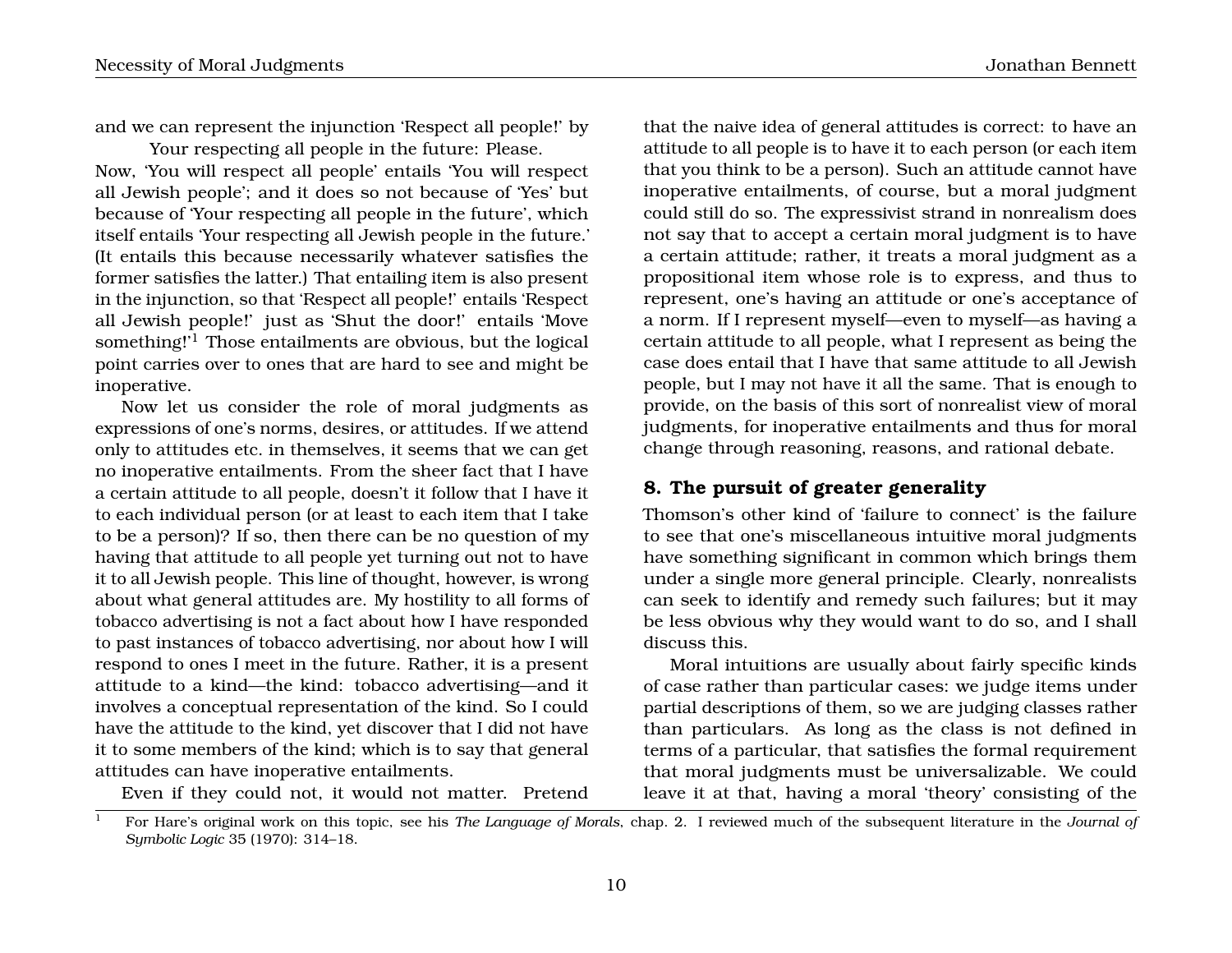and we can represent the injunction 'Respect all people!' by

Your respecting all people in the future: Please. Now, 'You will respect all people' entails 'You will respect all Jewish people'; and it does so not because of 'Yes' but because of 'Your respecting all people in the future', which itself entails 'Your respecting all Jewish people in the future.' (It entails this because necessarily whatever satisfies the former satisfies the latter.) That entailing item is also present in the injunction, so that 'Respect all people!' entails 'Respect all Jewish people!' just as 'Shut the door!' entails 'Move something!<sup>1</sup> Those entailments are obvious, but the logical point carries over to ones that are hard to see and might be inoperative.

Now let us consider the role of moral judgments as expressions of one's norms, desires, or attitudes. If we attend only to attitudes etc. in themselves, it seems that we can get no inoperative entailments. From the sheer fact that I have a certain attitude to all people, doesn't it follow that I have it to each individual person (or at least to each item that I take to be a person)? If so, then there can be no question of my having that attitude to all people yet turning out not to have it to all Jewish people. This line of thought, however, is wrong about what general attitudes are. My hostility to all forms of tobacco advertising is not a fact about how I have responded to past instances of tobacco advertising, nor about how I will respond to ones I meet in the future. Rather, it is a present attitude to a kind—the kind: tobacco advertising—and it involves a conceptual representation of the kind. So I could have the attitude to the kind, yet discover that I did not have it to some members of the kind; which is to say that general attitudes can have inoperative entailments.

Even if they could not, it would not matter. Pretend

that the naive idea of general attitudes is correct: to have an attitude to all people is to have it to each person (or each item that you think to be a person). Such an attitude cannot have inoperative entailments, of course, but a moral judgment could still do so. The expressivist strand in nonrealism does not say that to accept a certain moral judgment is to have a certain attitude; rather, it treats a moral judgment as a propositional item whose role is to express, and thus to represent, one's having an attitude or one's acceptance of a norm. If I represent myself—even to myself—as having a certain attitude to all people, what I represent as being the case does entail that I have that same attitude to all Jewish people, but I may not have it all the same. That is enough to provide, on the basis of this sort of nonrealist view of moral judgments, for inoperative entailments and thus for moral change through reasoning, reasons, and rational debate.

## **8. The pursuit of greater generality**

Thomson's other kind of 'failure to connect' is the failure to see that one's miscellaneous intuitive moral judgments have something significant in common which brings them under a single more general principle. Clearly, nonrealists can seek to identify and remedy such failures; but it may be less obvious why they would want to do so, and I shall discuss this.

Moral intuitions are usually about fairly specific kinds of case rather than particular cases: we judge items under partial descriptions of them, so we are judging classes rather than particulars. As long as the class is not defined in terms of a particular, that satisfies the formal requirement that moral judgments must be universalizable. We could leave it at that, having a moral 'theory' consisting of the

<sup>1</sup> For Hare's original work on this topic, see his *The Language of Morals*, chap. 2. I reviewed much of the subsequent literature in the *Journal of Symbolic Logic* 35 (1970): 314–18.